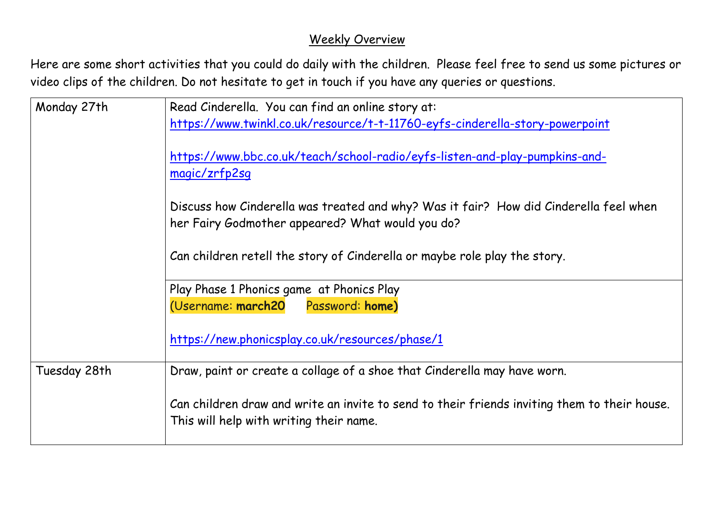## Weekly Overview

Here are some short activities that you could do daily with the children. Please feel free to send us some pictures or video clips of the children. Do not hesitate to get in touch if you have any queries or questions.

| Monday 27th  | Read Cinderella. You can find an online story at:<br>https://www.twinkl.co.uk/resource/t-t-11760-eyfs-cinderella-story-powerpoint         |
|--------------|-------------------------------------------------------------------------------------------------------------------------------------------|
|              |                                                                                                                                           |
|              | https://www.bbc.co.uk/teach/school-radio/eyfs-listen-and-play-pumpkins-and-<br>magic/zrfp2sq                                              |
|              |                                                                                                                                           |
|              | Discuss how Cinderella was treated and why? Was it fair? How did Cinderella feel when<br>her Fairy Godmother appeared? What would you do? |
|              | Can children retell the story of Cinderella or maybe role play the story.                                                                 |
|              | Play Phase 1 Phonics game at Phonics Play                                                                                                 |
|              | (Username: march20 Password: home)                                                                                                        |
|              | https://new.phonicsplay.co.uk/resources/phase/1                                                                                           |
| Tuesday 28th | Draw, paint or create a collage of a shoe that Cinderella may have worn.                                                                  |
|              | Can children draw and write an invite to send to their friends inviting them to their house.<br>This will help with writing their name.   |